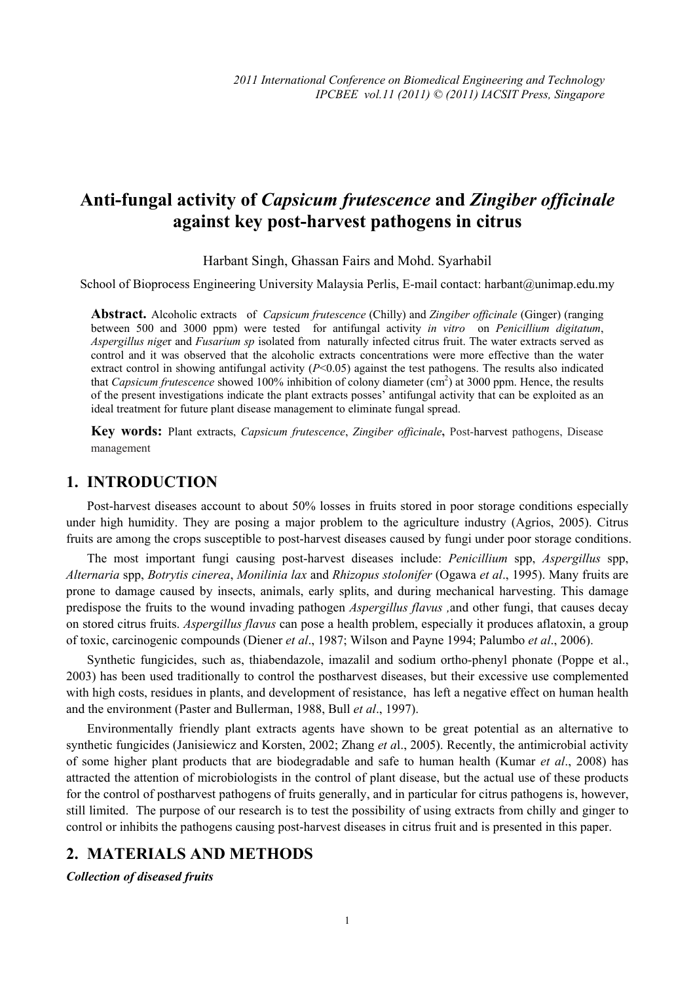# **Anti-fungal activity of** *Capsicum frutescence* **and** *Zingiber officinale* **against key post-harvest pathogens in citrus**

#### Harbant Singh, Ghassan Fairs and Mohd. Syarhabil

School of Bioprocess Engineering University Malaysia Perlis, E-mail contact: harbant@unimap.edu.my

**Abstract.** Alcoholic extracts of *Capsicum frutescence* (Chilly) and *Zingiber officinale* (Ginger) (ranging between 500 and 3000 ppm) were tested for antifungal activity *in vitro* on *Penicillium digitatum*, *Aspergillus nige*r and *Fusarium sp* isolated from naturally infected citrus fruit. The water extracts served as control and it was observed that the alcoholic extracts concentrations were more effective than the water extract control in showing antifungal activity (*P*<0.05) against the test pathogens. The results also indicated that *Capsicum frutescence* showed 100% inhibition of colony diameter (cm<sup>2</sup>) at 3000 ppm. Hence, the results of the present investigations indicate the plant extracts posses' antifungal activity that can be exploited as an ideal treatment for future plant disease management to eliminate fungal spread.

**Key words:** Plant extracts, *Capsicum frutescence*, *Zingiber officinale***,** Post-harvest pathogens, Disease management

### **1. INTRODUCTION**

Post-harvest diseases account to about 50% losses in fruits stored in poor storage conditions especially under high humidity. They are posing a major problem to the agriculture industry (Agrios, 2005). Citrus fruits are among the crops susceptible to post-harvest diseases caused by fungi under poor storage conditions.

The most important fungi causing post-harvest diseases include: *Penicillium* spp, *Aspergillus* spp, *Alternaria* spp, *Botrytis cinerea*, *Monilinia lax* and *Rhizopus stolonifer* (Ogawa *et al*., 1995). Many fruits are prone to damage caused by insects, animals, early splits, and during mechanical harvesting. This damage predispose the fruits to the wound invading pathogen *Aspergillus flavus ,*and other fungi, that causes decay on stored citrus fruits. *Aspergillus flavus* can pose a health problem, especially it produces aflatoxin, a group of toxic, carcinogenic compounds (Diener *et al*., 1987; Wilson and Payne 1994; Palumbo *et al*., 2006).

Synthetic fungicides, such as, thiabendazole, imazalil and sodium ortho-phenyl phonate (Poppe et al., 2003) has been used traditionally to control the postharvest diseases, but their excessive use complemented with high costs, residues in plants, and development of resistance, has left a negative effect on human health and the environment (Paster and Bullerman, 1988, Bull *et al*., 1997).

Environmentally friendly plant extracts agents have shown to be great potential as an alternative to synthetic fungicides (Janisiewicz and Korsten, 2002; Zhang *et a*l., 2005). Recently, the antimicrobial activity of some higher plant products that are biodegradable and safe to human health (Kumar *et al*., 2008) has attracted the attention of microbiologists in the control of plant disease, but the actual use of these products for the control of postharvest pathogens of fruits generally, and in particular for citrus pathogens is, however, still limited. The purpose of our research is to test the possibility of using extracts from chilly and ginger to control or inhibits the pathogens causing post-harvest diseases in citrus fruit and is presented in this paper.

# **2. MATERIALS AND METHODS**

*Collection of diseased fruits*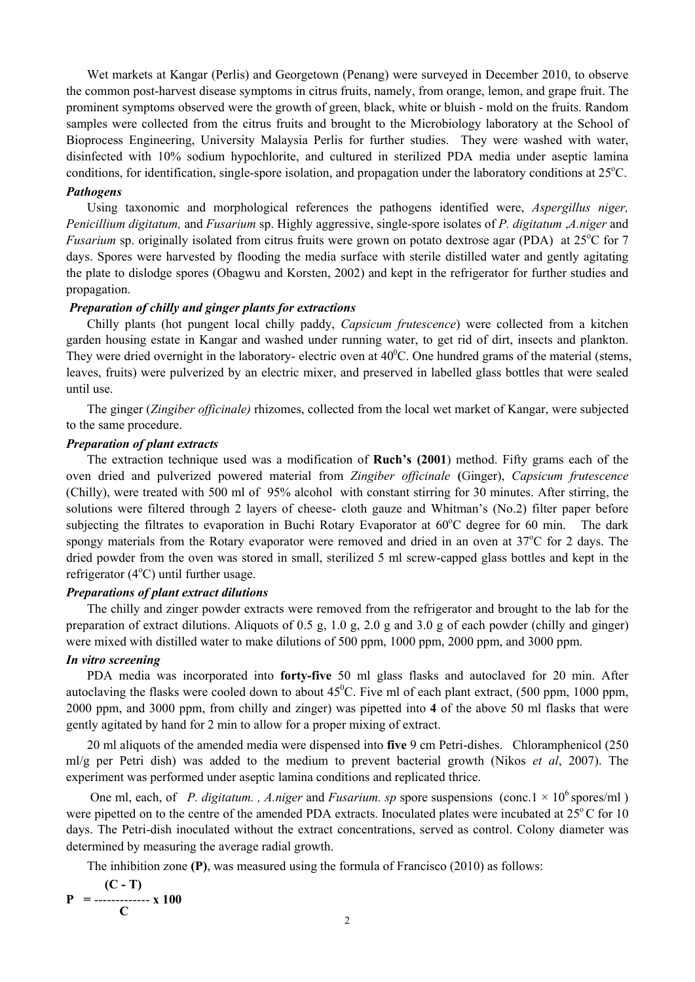Wet markets at Kangar (Perlis) and Georgetown (Penang) were surveyed in December 2010, to observe the common post-harvest disease symptoms in citrus fruits, namely, from orange, lemon, and grape fruit. The prominent symptoms observed were the growth of green, black, white or bluish - mold on the fruits. Random samples were collected from the citrus fruits and brought to the Microbiology laboratory at the School of Bioprocess Engineering, University Malaysia Perlis for further studies. They were washed with water, disinfected with 10% sodium hypochlorite, and cultured in sterilized PDA media under aseptic lamina conditions, for identification, single-spore isolation, and propagation under the laboratory conditions at 25°C.

#### *Pathogens*

Using taxonomic and morphological references the pathogens identified were, *Aspergillus niger, Penicillium digitatum,* and *Fusarium* sp. Highly aggressive, single-spore isolates of *P. digitatum* ,*A.niger* and *Fusarium* sp. originally isolated from citrus fruits were grown on potato dextrose agar (PDA) at 25°C for 7 days. Spores were harvested by flooding the media surface with sterile distilled water and gently agitating the plate to dislodge spores (Obagwu and Korsten, 2002) and kept in the refrigerator for further studies and propagation.

#### *Preparation of chilly and ginger plants for extractions*

Chilly plants (hot pungent local chilly paddy, *Capsicum frutescence*) were collected from a kitchen garden housing estate in Kangar and washed under running water, to get rid of dirt, insects and plankton. They were dried overnight in the laboratory- electric oven at  $40^{\circ}$ C. One hundred grams of the material (stems, leaves, fruits) were pulverized by an electric mixer, and preserved in labelled glass bottles that were sealed until use.

The ginger (*Zingiber officinale)* rhizomes, collected from the local wet market of Kangar, were subjected to the same procedure.

#### *Preparation of plant extracts*

The extraction technique used was a modification of **Ruch's (2001**) method. Fifty grams each of the oven dried and pulverized powered material from *Zingiber officinale* **(**Ginger), *Capsicum frutescence*  (Chilly), were treated with 500 ml of 95% alcohol with constant stirring for 30 minutes. After stirring, the solutions were filtered through 2 layers of cheese- cloth gauze and Whitman's (No.2) filter paper before subjecting the filtrates to evaporation in Buchi Rotary Evaporator at  $60^{\circ}$ C degree for 60 min. The dark spongy materials from the Rotary evaporator were removed and dried in an oven at 37°C for 2 days. The dried powder from the oven was stored in small, sterilized 5 ml screw-capped glass bottles and kept in the refrigerator  $(4^{\circ}C)$  until further usage.

#### *Preparations of plant extract dilutions*

The chilly and zinger powder extracts were removed from the refrigerator and brought to the lab for the preparation of extract dilutions. Aliquots of 0.5 g, 1.0 g, 2.0 g and 3.0 g of each powder (chilly and ginger) were mixed with distilled water to make dilutions of 500 ppm, 1000 ppm, 2000 ppm, and 3000 ppm.

#### *In vitro screening*

PDA media was incorporated into **forty-five** 50 ml glass flasks and autoclaved for 20 min. After autoclaving the flasks were cooled down to about  $45^{\circ}$ C. Five ml of each plant extract, (500 ppm, 1000 ppm, 2000 ppm, and 3000 ppm, from chilly and zinger) was pipetted into **4** of the above 50 ml flasks that were gently agitated by hand for 2 min to allow for a proper mixing of extract.

20 ml aliquots of the amended media were dispensed into **five** 9 cm Petri-dishes. Chloramphenicol (250 ml/g per Petri dish) was added to the medium to prevent bacterial growth (Nikos *et al*, 2007). The experiment was performed under aseptic lamina conditions and replicated thrice.

One ml, each, of *P. digitatum.* , A.niger and *Fusarium. sp* spore suspensions (conc.1  $\times$  10<sup>6</sup> spores/ml) were pipetted on to the centre of the amended PDA extracts. Inoculated plates were incubated at  $25^{\circ}$ C for 10 days. The Petri-dish inoculated without the extract concentrations, served as control. Colony diameter was determined by measuring the average radial growth.

The inhibition zone **(P)**, was measured using the formula of Francisco (2010) as follows:

$$
P = \frac{(C - T)}{C} \times 100
$$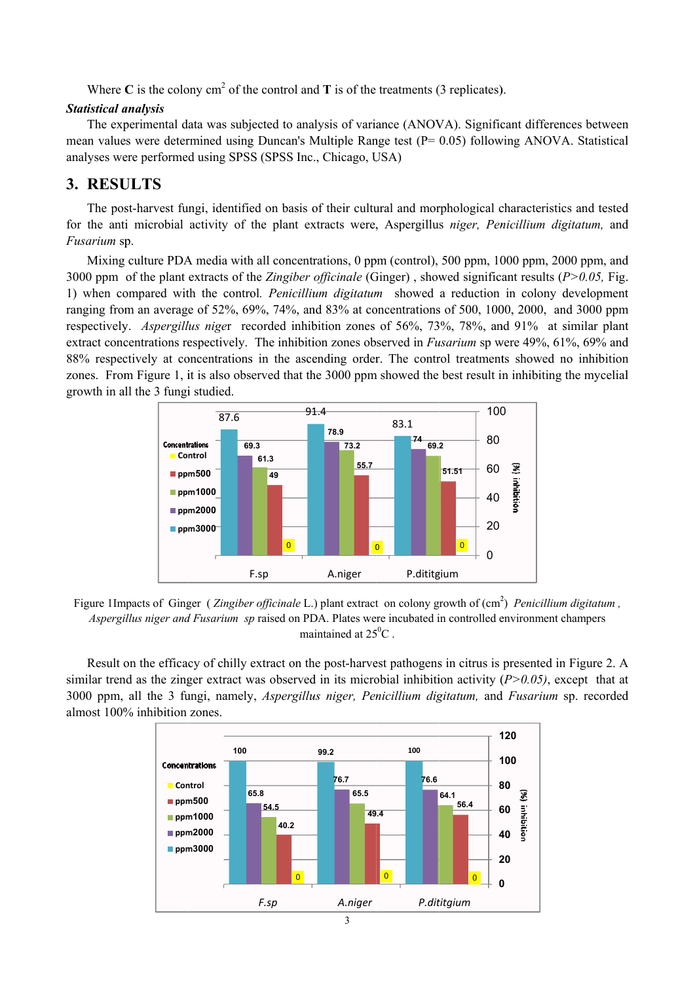Where C is the colony  $cm<sup>2</sup>$  of the control and T is of the treatments (3 replicates).

#### **Statistical analysis**

The experimental data was subjected to analysis of variance (ANOVA). Significant differences between mean values were determined using Duncan's Multiple Range test  $(P= 0.05)$  following ANOVA. Statistical analyses were performed using SPSS (SPSS Inc., Chicago, USA)

# 3. RESULTS

The post-harvest fungi, identified on basis of their cultural and morphological characteristics and tested for the anti microbial activity of the plant extracts were, Aspergillus niger, Penicillium digitatum, and Fusarium sp.

Mixing culture PDA media with all concentrations, 0 ppm (control), 500 ppm, 1000 ppm, 2000 ppm, and 3000 ppm of the plant extracts of the Zingiber officinale (Ginger), showed significant results ( $P > 0.05$ , Fig. 1) when compared with the control. *Penicillium digitatum* showed a reduction in colony development ranging from an average of 52%, 69%, 74%, and 83% at concentrations of 500, 1000, 2000, and 3000 ppm respectively. Aspergillus niger recorded inhibition zones of 56%, 73%, 78%, and 91% at similar plant extract concentrations respectively. The inhibition zones observed in Fusarium sp were 49%, 61%, 69% and 88% respectively at concentrations in the ascending order. The control treatments showed no inhibition zones. From Figure 1, it is also observed that the 3000 ppm showed the best result in inhibiting the mycelial growth in all the 3 fungi studied.



Figure 1Impacts of Ginger (Zingiber officinale L.) plant extract on colony growth of (cm<sup>2</sup>) Penicillium digitatum, Aspergillus niger and Fusarium sp raised on PDA. Plates were incubated in controlled environment champers maintained at  $25^{\circ}$ C

Result on the efficacy of chilly extract on the post-harvest pathogens in citrus is presented in Figure 2. A similar trend as the zinger extract was observed in its microbial inhibition activity ( $P > 0.05$ ), except that at 3000 ppm, all the 3 fungi, namely, *Aspergillus niger*, *Penicillium digitatum*, and *Fusarium* sp. recorded almost 100% inhibition zones.

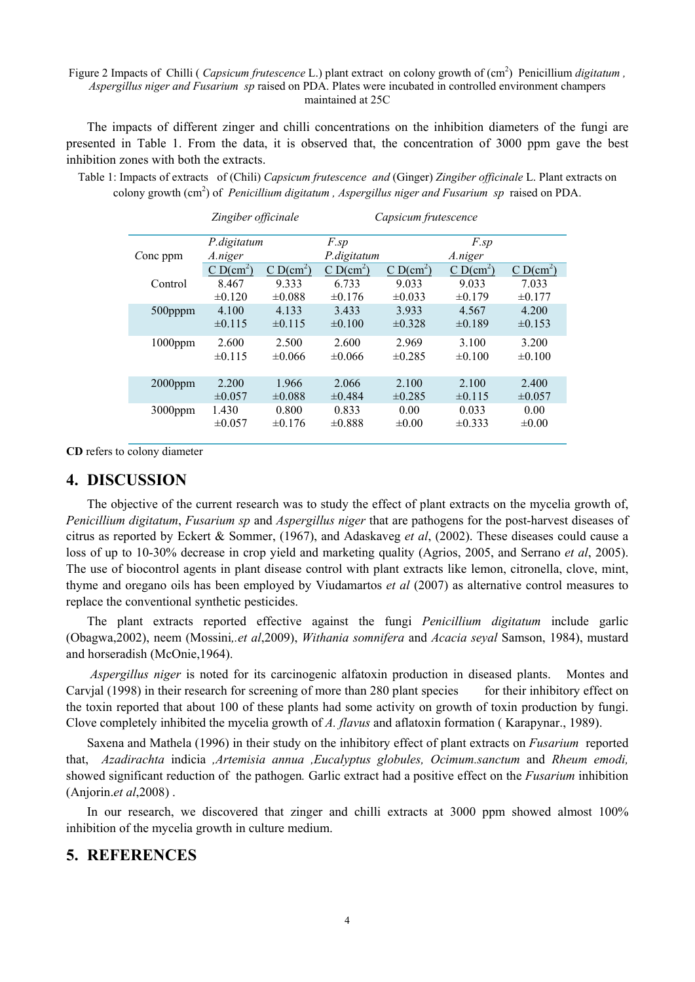#### Figure 2 Impacts of Chilli (*Capsicum frutescence* L.) plant extract on colony growth of (cm<sup>2</sup>) Penicillium *digitatum*, *Aspergillus niger and Fusarium sp* raised on PDA. Plates were incubated in controlled environment champers maintained at 25C

The impacts of different zinger and chilli concentrations on the inhibition diameters of the fungi are presented in Table 1. From the data, it is observed that, the concentration of 3000 ppm gave the best inhibition zones with both the extracts.

Table 1: Impacts of extracts of (Chili) *Capsicum frutescence and* (Ginger) *Zingiber officinale* L. Plant extracts on colony growth (cm<sup>2</sup>) of *Penicillium digitatum, Aspergillus niger and Fusarium sp* raised on PDA.

|            | Zingiber officinale |             | Capsicum frutescence |             |             |                      |
|------------|---------------------|-------------|----------------------|-------------|-------------|----------------------|
|            | P.digitatum         |             | F.sp                 |             | F.sp        |                      |
| Conc ppm   | A.niger             |             | P.digitatum          |             | A.niger     |                      |
|            | $CD(cm^2)$          | $CD(cm^2)$  | $CD(cm^2)$           | $C D(cm^2)$ | $CD(cm^2)$  | CD(cm <sup>2</sup> ) |
| Control    | 8.467               | 9.333       | 6.733                | 9.033       | 9.033       | 7.033                |
|            | $\pm 0.120$         | $\pm 0.088$ | $\pm 0.176$          | $\pm 0.033$ | $\pm 0.179$ | $\pm 0.177$          |
| $500$ pppm | 4.100               | 4.133       | 3.433                | 3.933       | 4.567       | 4.200                |
|            | $\pm 0.115$         | $\pm 0.115$ | $\pm 0.100$          | $\pm 0.328$ | $\pm 0.189$ | $\pm 0.153$          |
| $1000$ ppm | 2.600               | 2.500       | 2.600                | 2.969       | 3.100       | 3.200                |
|            | $\pm 0.115$         | $\pm 0.066$ | $\pm 0.066$          | $\pm 0.285$ | $\pm 0.100$ | $\pm 0.100$          |
|            |                     |             |                      |             |             |                      |
| $2000$ ppm | 2.200               | 1.966       | 2.066                | 2.100       | 2.100       | 2.400                |
|            | $\pm 0.057$         | $\pm 0.088$ | $\pm 0.484$          | $\pm 0.285$ | $\pm 0.115$ | $\pm 0.057$          |
| $3000$ ppm | 1.430               | 0.800       | 0.833                | 0.00        | 0.033       | 0.00                 |
|            | $\pm 0.057$         | $\pm 0.176$ | $\pm 0.888$          | $\pm 0.00$  | $\pm 0.333$ | $\pm 0.00$           |

**CD** refers to colony diameter

# **4. DISCUSSION**

The objective of the current research was to study the effect of plant extracts on the mycelia growth of, *Penicillium digitatum*, *Fusarium sp* and *Aspergillus niger* that are pathogens for the post-harvest diseases of citrus as reported by Eckert & Sommer, (1967), and Adaskaveg *et al*, (2002). These diseases could cause a loss of up to 10-30% decrease in crop yield and marketing quality (Agrios, 2005, and Serrano *et al*, 2005). The use of biocontrol agents in plant disease control with plant extracts like lemon, citronella, clove, mint, thyme and oregano oils has been employed by Viudamartos *et al* (2007) as alternative control measures to replace the conventional synthetic pesticides.

The plant extracts reported effective against the fungi *Penicillium digitatum* include garlic (Obagwa,2002), neem (Mossini*,.et al*,2009), *Withania somnifera* and *Acacia seyal* Samson, 1984), mustard and horseradish (McOnie,1964).

*Aspergillus niger* is noted for its carcinogenic alfatoxin production in diseased plants. Montes and Carvial (1998) in their research for screening of more than 280 plant species for their inhibitory effect on the toxin reported that about 100 of these plants had some activity on growth of toxin production by fungi. Clove completely inhibited the mycelia growth of *A. flavus* and aflatoxin formation ( Karapynar., 1989).

Saxena and Mathela (1996) in their study on the inhibitory effect of plant extracts on *Fusarium* reported that, *Azadirachta* indicia *,Artemisia annua ,Eucalyptus globules, Ocimum.sanctum* and *Rheum emodi,*  showed significant reduction of the pathogen*.* Garlic extract had a positive effect on the *Fusarium* inhibition (Anjorin.*et al*,2008) .

In our research, we discovered that zinger and chilli extracts at 3000 ppm showed almost 100% inhibition of the mycelia growth in culture medium.

# **5. REFERENCES**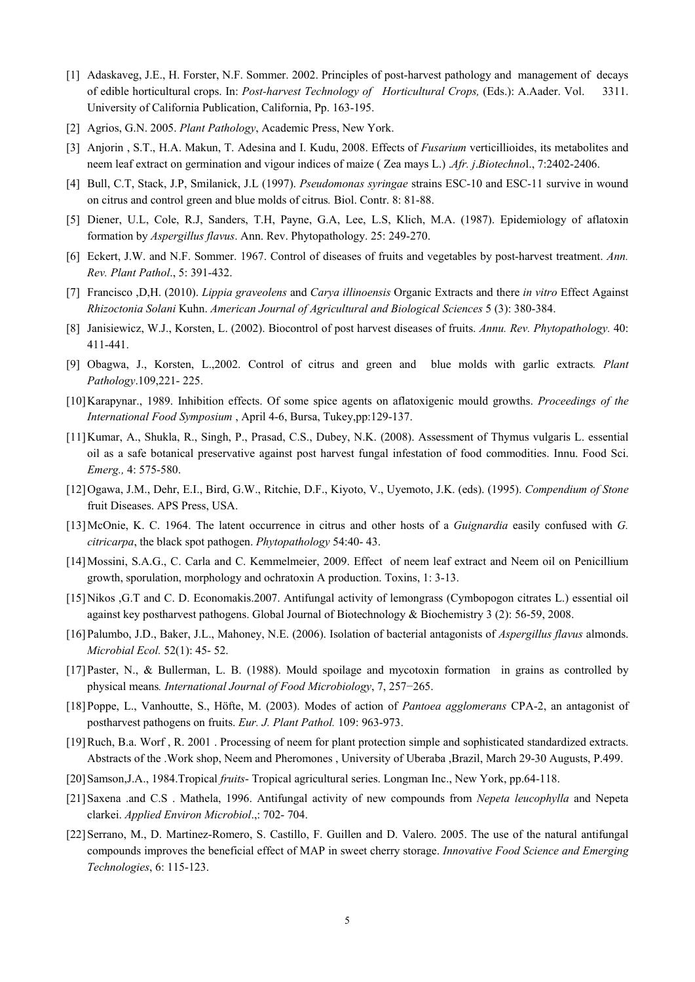- [1] Adaskaveg, J.E., H. Forster, N.F. Sommer. 2002. Principles of post-harvest pathology and management of decays of edible horticultural crops. In: *Post-harvest Technology of Horticultural Crops,* (Eds.): A.Aader. Vol. 3311. University of California Publication, California, Pp. 163-195.
- [2] Agrios, G.N. 2005. *Plant Pathology*, Academic Press, New York.
- [3] Anjorin , S.T., H.A. Makun, T. Adesina and I. Kudu, 2008. Effects of *Fusarium* verticillioides, its metabolites and neem leaf extract on germination and vigour indices of maize ( Zea mays L.) .*Afr. j*.*Biotechno*l., 7:2402-2406.
- [4] Bull, C.T, Stack, J.P, Smilanick, J.L (1997). *Pseudomonas syringae* strains ESC-10 and ESC-11 survive in wound on citrus and control green and blue molds of citrus*.* Biol. Contr. 8: 81-88.
- [5] Diener, U.L, Cole, R.J, Sanders, T.H, Payne, G.A, Lee, L.S, Klich, M.A. (1987). Epidemiology of aflatoxin formation by *Aspergillus flavus*. Ann. Rev. Phytopathology. 25: 249-270.
- [6] Eckert, J.W. and N.F. Sommer. 1967. Control of diseases of fruits and vegetables by post-harvest treatment. *Ann. Rev. Plant Pathol*., 5: 391-432.
- [7] Francisco ,D,H. (2010). *Lippia graveolens* and *Carya illinoensis* Organic Extracts and there *in vitro* Effect Against *Rhizoctonia Solani* Kuhn. *American Journal of Agricultural and Biological Sciences* 5 (3): 380-384.
- [8] Janisiewicz, W.J., Korsten, L. (2002). Biocontrol of post harvest diseases of fruits. *Annu. Rev. Phytopathology.* 40: 411-441.
- [9] Obagwa, J., Korsten, L.,2002. Control of citrus and green and blue molds with garlic extracts*. Plant Pathology*.109,221- 225.
- [10]Karapynar., 1989. Inhibition effects. Of some spice agents on aflatoxigenic mould growths. *Proceedings of the International Food Symposium* , April 4-6, Bursa, Tukey,pp:129-137.
- [11]Kumar, A., Shukla, R., Singh, P., Prasad, C.S., Dubey, N.K. (2008). Assessment of Thymus vulgaris L. essential oil as a safe botanical preservative against post harvest fungal infestation of food commodities. Innu. Food Sci. *Emerg.,* 4: 575-580.
- [12]Ogawa, J.M., Dehr, E.I., Bird, G.W., Ritchie, D.F., Kiyoto, V., Uyemoto, J.K. (eds). (1995). *Compendium of Stone*  fruit Diseases. APS Press, USA.
- [13]McOnie, K. C. 1964. The latent occurrence in citrus and other hosts of a *Guignardia* easily confused with *G. citricarpa*, the black spot pathogen. *Phytopathology* 54:40- 43.
- [14]Mossini, S.A.G., C. Carla and C. Kemmelmeier, 2009. Effect of neem leaf extract and Neem oil on Penicillium growth, sporulation, morphology and ochratoxin A production. Toxins, 1: 3-13.
- [15]Nikos ,G.T and C. D. Economakis.2007. Antifungal activity of lemongrass (Cymbopogon citrates L.) essential oil against key postharvest pathogens. Global Journal of Biotechnology & Biochemistry 3 (2): 56-59, 2008.
- [16]Palumbo, J.D., Baker, J.L., Mahoney, N.E. (2006). Isolation of bacterial antagonists of *Aspergillus flavus* almonds. *Microbial Ecol.* 52(1): 45- 52.
- [17]Paster, N., & Bullerman, L. B. (1988). Mould spoilage and mycotoxin formation in grains as controlled by physical means*. International Journal of Food Microbiology*, 7, 257−265.
- [18]Poppe, L., Vanhoutte, S., Höfte, M. (2003). Modes of action of *Pantoea agglomerans* CPA-2, an antagonist of postharvest pathogens on fruits. *Eur. J. Plant Pathol.* 109: 963-973.
- [19]Ruch, B.a. Worf , R. 2001 . Processing of neem for plant protection simple and sophisticated standardized extracts. Abstracts of the .Work shop, Neem and Pheromones , University of Uberaba ,Brazil, March 29-30 Augusts, P.499.
- [20]Samson,J.A., 1984.Tropical *fruits* Tropical agricultural series. Longman Inc., New York, pp.64-118.
- [21]Saxena .and C.S . Mathela, 1996. Antifungal activity of new compounds from *Nepeta leucophylla* and Nepeta clarkei. *Applied Environ Microbiol*.,: 702- 704.
- [22] Serrano, M., D. Martinez-Romero, S. Castillo, F. Guillen and D. Valero. 2005. The use of the natural antifungal compounds improves the beneficial effect of MAP in sweet cherry storage. *Innovative Food Science and Emerging Technologies*, 6: 115-123.